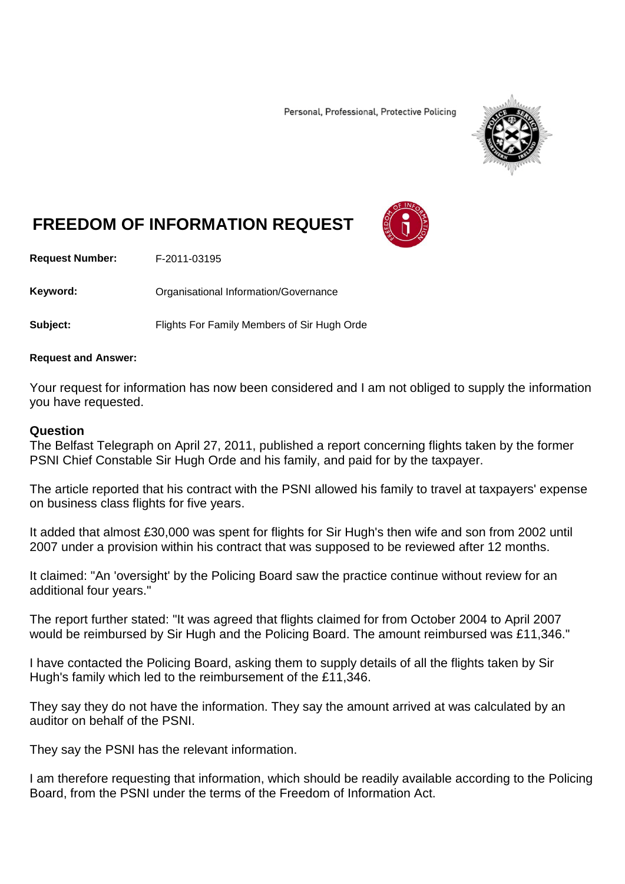Personal, Professional, Protective Policing



## **FREEDOM OF INFORMATION REQUEST**

**Request Number:** F-2011-03195

Keyword: **Communistry Communisties** Organisational Information/Governance

**Subject:** Flights For Family Members of Sir Hugh Orde

## **Request and Answer:**

Your request for information has now been considered and I am not obliged to supply the information you have requested.

## **Question**

The Belfast Telegraph on April 27, 2011, published a report concerning flights taken by the former PSNI Chief Constable Sir Hugh Orde and his family, and paid for by the taxpayer.

The article reported that his contract with the PSNI allowed his family to travel at taxpayers' expense on business class flights for five years.

It added that almost £30,000 was spent for flights for Sir Hugh's then wife and son from 2002 until 2007 under a provision within his contract that was supposed to be reviewed after 12 months.

It claimed: "An 'oversight' by the Policing Board saw the practice continue without review for an additional four years."

The report further stated: "It was agreed that flights claimed for from October 2004 to April 2007 would be reimbursed by Sir Hugh and the Policing Board. The amount reimbursed was £11,346."

I have contacted the Policing Board, asking them to supply details of all the flights taken by Sir Hugh's family which led to the reimbursement of the £11,346.

They say they do not have the information. They say the amount arrived at was calculated by an auditor on behalf of the PSNI.

They say the PSNI has the relevant information.

I am therefore requesting that information, which should be readily available according to the Policing Board, from the PSNI under the terms of the Freedom of Information Act.